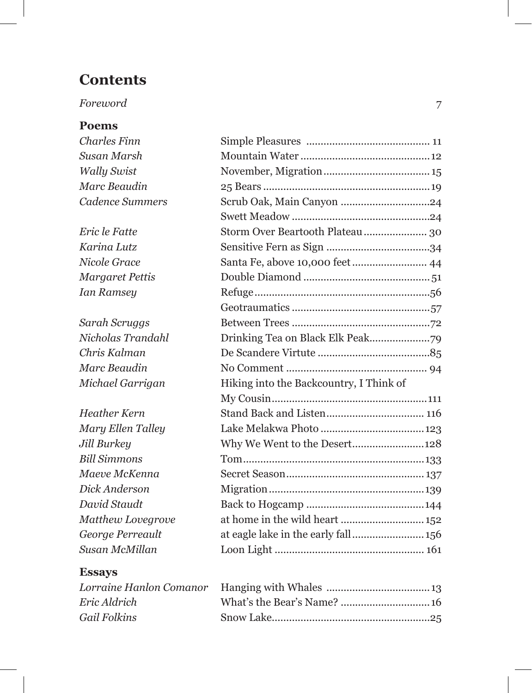# **Contents**

## *Foreword* 7

#### **Poems**

| Charles Finn       |                                         |
|--------------------|-----------------------------------------|
| Susan Marsh        |                                         |
| <b>Wally Swist</b> |                                         |
| Marc Beaudin       |                                         |
| Cadence Summers    |                                         |
|                    |                                         |
| Eric le Fatte      |                                         |
| Karina Lutz        |                                         |
| Nicole Grace       | Santa Fe, above 10,000 feet 44          |
| Margaret Pettis    |                                         |
| Ian Ramsey         |                                         |
|                    |                                         |
| Sarah Scruggs      |                                         |
| Nicholas Trandahl  |                                         |
| Chris Kalman       |                                         |
| Marc Beaudin       |                                         |
| Michael Garrigan   | Hiking into the Backcountry, I Think of |
|                    |                                         |
| Heather Kern       |                                         |
| Mary Ellen Talley  |                                         |
| Jill Burkey        | Why We Went to the Desert128            |
| Bill Simmons       |                                         |
| Maeve McKenna      |                                         |
| Dick Anderson      |                                         |
| David Staudt       |                                         |
| Matthew Lovegrove  |                                         |
| George Perreault   |                                         |
| Susan McMillan     |                                         |
|                    |                                         |

### **Essays**

| Eric Aldrich |  |
|--------------|--|
| Gail Folkins |  |
|              |  |